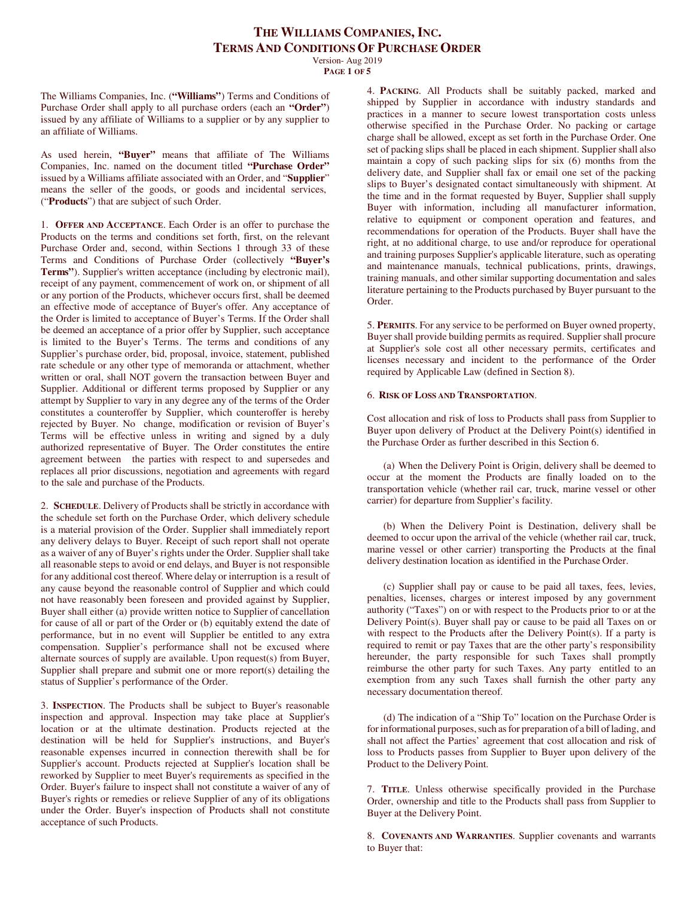Version- Aug 2019 **PAGE 1 OF 5**

The Williams Companies, Inc. (**"Williams"**) Terms and Conditions of Purchase Order shall apply to all purchase orders (each an **"Order"**) issued by any affiliate of Williams to a supplier or by any supplier to an affiliate of Williams.

As used herein, **"Buyer"** means that affiliate of The Williams Companies, Inc. named on the document titled **"Purchase Order"**  issued by a Williams affiliate associated with an Order, and "**Supplier**" means the seller of the goods, or goods and incidental services, ("**Products**") that are subject of such Order.

1. **OFFER AND ACCEPTANCE**. Each Order is an offer to purchase the Products on the terms and conditions set forth, first, on the relevant Purchase Order and, second, within Sections 1 through 33 of these Terms and Conditions of Purchase Order (collectively **"Buyer's Terms"**). Supplier's written acceptance (including by electronic mail), receipt of any payment, commencement of work on, or shipment of all or any portion of the Products, whichever occurs first, shall be deemed an effective mode of acceptance of Buyer's offer. Any acceptance of the Order is limited to acceptance of Buyer's Terms. If the Order shall be deemed an acceptance of a prior offer by Supplier, such acceptance is limited to the Buyer's Terms. The terms and conditions of any Supplier's purchase order, bid, proposal, invoice, statement, published rate schedule or any other type of memoranda or attachment, whether written or oral, shall NOT govern the transaction between Buyer and Supplier. Additional or different terms proposed by Supplier or any attempt by Supplier to vary in any degree any of the terms of the Order constitutes a counteroffer by Supplier, which counteroffer is hereby rejected by Buyer. No change, modification or revision of Buyer's Terms will be effective unless in writing and signed by a duly authorized representative of Buyer. The Order constitutes the entire agreement between the parties with respect to and supersedes and replaces all prior discussions, negotiation and agreements with regard to the sale and purchase of the Products.

2. **SCHEDULE**. Delivery of Products shall be strictly in accordance with the schedule set forth on the Purchase Order, which delivery schedule is a material provision of the Order. Supplier shall immediately report any delivery delays to Buyer. Receipt of such report shall not operate as a waiver of any of Buyer's rights under the Order. Supplier shall take all reasonable steps to avoid or end delays, and Buyer is not responsible for any additional cost thereof. Where delay or interruption is a result of any cause beyond the reasonable control of Supplier and which could not have reasonably been foreseen and provided against by Supplier, Buyer shall either (a) provide written notice to Supplier of cancellation for cause of all or part of the Order or (b) equitably extend the date of performance, but in no event will Supplier be entitled to any extra compensation. Supplier's performance shall not be excused where alternate sources of supply are available. Upon request(s) from Buyer, Supplier shall prepare and submit one or more report(s) detailing the status of Supplier's performance of the Order.

3. **INSPECTION**. The Products shall be subject to Buyer's reasonable inspection and approval. Inspection may take place at Supplier's location or at the ultimate destination. Products rejected at the destination will be held for Supplier's instructions, and Buyer's reasonable expenses incurred in connection therewith shall be for Supplier's account. Products rejected at Supplier's location shall be reworked by Supplier to meet Buyer's requirements as specified in the Order. Buyer's failure to inspect shall not constitute a waiver of any of Buyer's rights or remedies or relieve Supplier of any of its obligations under the Order. Buyer's inspection of Products shall not constitute acceptance of such Products.

4. **PACKING**. All Products shall be suitably packed, marked and shipped by Supplier in accordance with industry standards and practices in a manner to secure lowest transportation costs unless otherwise specified in the Purchase Order. No packing or cartage charge shall be allowed, except as set forth in the Purchase Order. One set of packing slips shall be placed in each shipment. Supplier shall also maintain a copy of such packing slips for six (6) months from the delivery date, and Supplier shall fax or email one set of the packing slips to Buyer's designated contact simultaneously with shipment. At the time and in the format requested by Buyer, Supplier shall supply Buyer with information, including all manufacturer information, relative to equipment or component operation and features, and recommendations for operation of the Products. Buyer shall have the right, at no additional charge, to use and/or reproduce for operational and training purposes Supplier's applicable literature, such as operating and maintenance manuals, technical publications, prints, drawings, training manuals, and other similar supporting documentation and sales literature pertaining to the Products purchased by Buyer pursuant to the Order.

5. **PERMITS**. For any service to be performed on Buyer owned property, Buyer shall provide building permits as required. Supplier shall procure at Supplier's sole cost all other necessary permits, certificates and licenses necessary and incident to the performance of the Order required by Applicable Law (defined in Section 8).

#### 6. **RISK OF LOSS AND TRANSPORTATION**.

Cost allocation and risk of loss to Products shall pass from Supplier to Buyer upon delivery of Product at the Delivery Point(s) identified in the Purchase Order as further described in this Section 6.

(a) When the Delivery Point is Origin, delivery shall be deemed to occur at the moment the Products are finally loaded on to the transportation vehicle (whether rail car, truck, marine vessel or other carrier) for departure from Supplier's facility.

(b) When the Delivery Point is Destination, delivery shall be deemed to occur upon the arrival of the vehicle (whether rail car, truck, marine vessel or other carrier) transporting the Products at the final delivery destination location as identified in the Purchase Order.

(c) Supplier shall pay or cause to be paid all taxes, fees, levies, penalties, licenses, charges or interest imposed by any government authority ("Taxes") on or with respect to the Products prior to or at the Delivery Point(s). Buyer shall pay or cause to be paid all Taxes on or with respect to the Products after the Delivery Point(s). If a party is required to remit or pay Taxes that are the other party's responsibility hereunder, the party responsible for such Taxes shall promptly reimburse the other party for such Taxes. Any party entitled to an exemption from any such Taxes shall furnish the other party any necessary documentation thereof.

(d) The indication of a "Ship To" location on the Purchase Order is for informational purposes, such as for preparation of a bill of lading, and shall not affect the Parties' agreement that cost allocation and risk of loss to Products passes from Supplier to Buyer upon delivery of the Product to the Delivery Point.

7. **TITLE**. Unless otherwise specifically provided in the Purchase Order, ownership and title to the Products shall pass from Supplier to Buyer at the Delivery Point.

8. **COVENANTS AND WARRANTIES**. Supplier covenants and warrants to Buyer that: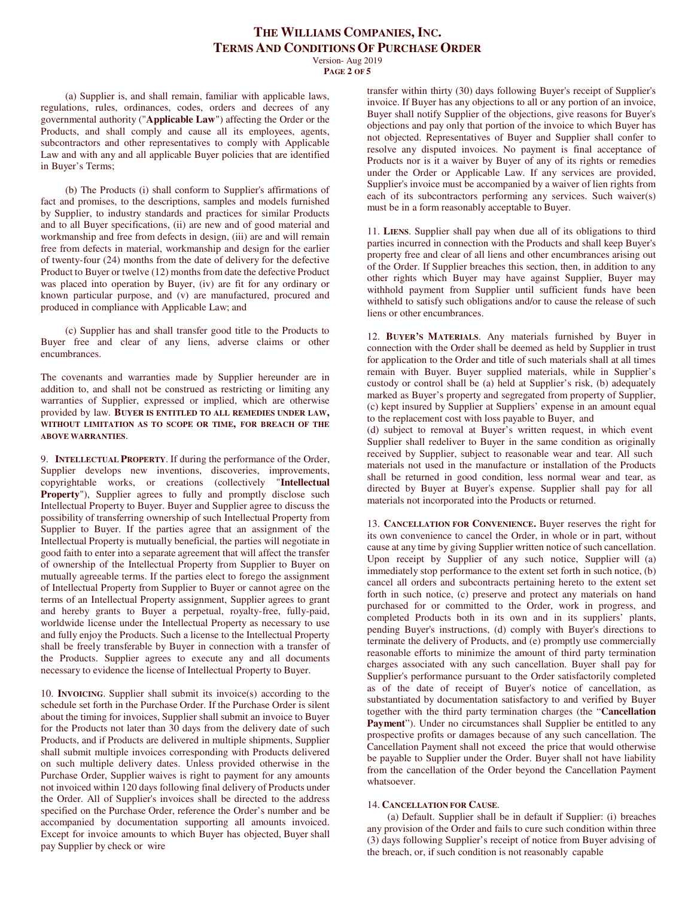Version- Aug 2019 **PAGE 2 OF 5**

(a) Supplier is, and shall remain, familiar with applicable laws, regulations, rules, ordinances, codes, orders and decrees of any governmental authority ("**Applicable Law**") affecting the Order or the Products, and shall comply and cause all its employees, agents, subcontractors and other representatives to comply with Applicable Law and with any and all applicable Buyer policies that are identified in Buyer's Terms;

(b) The Products (i) shall conform to Supplier's affirmations of fact and promises, to the descriptions, samples and models furnished by Supplier, to industry standards and practices for similar Products and to all Buyer specifications, (ii) are new and of good material and workmanship and free from defects in design, (iii) are and will remain free from defects in material, workmanship and design for the earlier of twenty-four (24) months from the date of delivery for the defective Product to Buyer or twelve (12) months from date the defective Product was placed into operation by Buyer, (iv) are fit for any ordinary or known particular purpose, and (v) are manufactured, procured and produced in compliance with Applicable Law; and

(c) Supplier has and shall transfer good title to the Products to Buyer free and clear of any liens, adverse claims or other encumbrances.

The covenants and warranties made by Supplier hereunder are in addition to, and shall not be construed as restricting or limiting any warranties of Supplier, expressed or implied, which are otherwise provided by law. **BUYER IS ENTITLED TO ALL REMEDIES UNDER LAW, WITHOUT LIMITATION AS TO SCOPE OR TIME, FOR BREACH OF THE ABOVE WARRANTIES**.

9. **INTELLECTUAL PROPERTY**. If during the performance of the Order, Supplier develops new inventions, discoveries, improvements, copyrightable works, or creations (collectively "**Intellectual Property**"), Supplier agrees to fully and promptly disclose such Intellectual Property to Buyer. Buyer and Supplier agree to discuss the possibility of transferring ownership of such Intellectual Property from Supplier to Buyer. If the parties agree that an assignment of the Intellectual Property is mutually beneficial, the parties will negotiate in good faith to enter into a separate agreement that will affect the transfer of ownership of the Intellectual Property from Supplier to Buyer on mutually agreeable terms. If the parties elect to forego the assignment of Intellectual Property from Supplier to Buyer or cannot agree on the terms of an Intellectual Property assignment, Supplier agrees to grant and hereby grants to Buyer a perpetual, royalty-free, fully-paid, worldwide license under the Intellectual Property as necessary to use and fully enjoy the Products. Such a license to the Intellectual Property shall be freely transferable by Buyer in connection with a transfer of the Products. Supplier agrees to execute any and all documents necessary to evidence the license of Intellectual Property to Buyer.

10. **INVOICING**. Supplier shall submit its invoice(s) according to the schedule set forth in the Purchase Order. If the Purchase Order is silent about the timing for invoices, Supplier shall submit an invoice to Buyer for the Products not later than 30 days from the delivery date of such Products, and if Products are delivered in multiple shipments, Supplier shall submit multiple invoices corresponding with Products delivered on such multiple delivery dates. Unless provided otherwise in the Purchase Order, Supplier waives is right to payment for any amounts not invoiced within 120 days following final delivery of Products under the Order. All of Supplier's invoices shall be directed to the address specified on the Purchase Order, reference the Order's number and be accompanied by documentation supporting all amounts invoiced. Except for invoice amounts to which Buyer has objected, Buyer shall pay Supplier by check or wire

transfer within thirty (30) days following Buyer's receipt of Supplier's invoice. If Buyer has any objections to all or any portion of an invoice, Buyer shall notify Supplier of the objections, give reasons for Buyer's objections and pay only that portion of the invoice to which Buyer has not objected. Representatives of Buyer and Supplier shall confer to resolve any disputed invoices. No payment is final acceptance of Products nor is it a waiver by Buyer of any of its rights or remedies under the Order or Applicable Law. If any services are provided, Supplier's invoice must be accompanied by a waiver of lien rights from each of its subcontractors performing any services. Such waiver(s) must be in a form reasonably acceptable to Buyer.

11. **LIENS**. Supplier shall pay when due all of its obligations to third parties incurred in connection with the Products and shall keep Buyer's property free and clear of all liens and other encumbrances arising out of the Order. If Supplier breaches this section, then, in addition to any other rights which Buyer may have against Supplier, Buyer may withhold payment from Supplier until sufficient funds have been withheld to satisfy such obligations and/or to cause the release of such liens or other encumbrances.

12. **BUYER'S MATERIALS**. Any materials furnished by Buyer in connection with the Order shall be deemed as held by Supplier in trust for application to the Order and title of such materials shall at all times remain with Buyer. Buyer supplied materials, while in Supplier's custody or control shall be (a) held at Supplier's risk, (b) adequately marked as Buyer's property and segregated from property of Supplier, (c) kept insured by Supplier at Suppliers' expense in an amount equal to the replacement cost with loss payable to Buyer, and

(d) subject to removal at Buyer's written request, in which event Supplier shall redeliver to Buyer in the same condition as originally received by Supplier, subject to reasonable wear and tear. All such materials not used in the manufacture or installation of the Products shall be returned in good condition, less normal wear and tear, as directed by Buyer at Buyer's expense. Supplier shall pay for all materials not incorporated into the Products or returned.

13. **CANCELLATION FOR CONVENIENCE.** Buyer reserves the right for its own convenience to cancel the Order, in whole or in part, without cause at any time by giving Supplier written notice of such cancellation. Upon receipt by Supplier of any such notice, Supplier will (a) immediately stop performance to the extent set forth in such notice, (b) cancel all orders and subcontracts pertaining hereto to the extent set forth in such notice, (c) preserve and protect any materials on hand purchased for or committed to the Order, work in progress, and completed Products both in its own and in its suppliers' plants, pending Buyer's instructions, (d) comply with Buyer's directions to terminate the delivery of Products, and (e) promptly use commercially reasonable efforts to minimize the amount of third party termination charges associated with any such cancellation. Buyer shall pay for Supplier's performance pursuant to the Order satisfactorily completed as of the date of receipt of Buyer's notice of cancellation, as substantiated by documentation satisfactory to and verified by Buyer together with the third party termination charges (the "**Cancellation**  Payment"). Under no circumstances shall Supplier be entitled to any prospective profits or damages because of any such cancellation. The Cancellation Payment shall not exceed the price that would otherwise be payable to Supplier under the Order. Buyer shall not have liability from the cancellation of the Order beyond the Cancellation Payment whatsoever.

#### 14. **CANCELLATION FOR CAUSE**.

(a) Default. Supplier shall be in default if Supplier: (i) breaches any provision of the Order and fails to cure such condition within three (3) days following Supplier's receipt of notice from Buyer advising of the breach, or, if such condition is not reasonably capable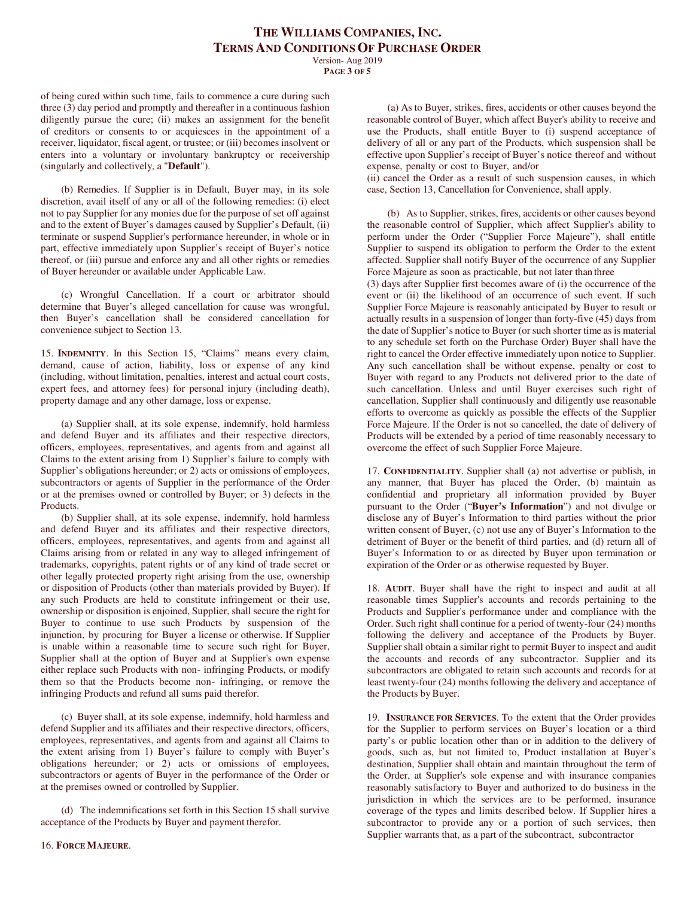Version- Aug 2019 **PAGE 3 OF 5**

of being cured within such time, fails to commence a cure during such three (3) day period and promptly and thereafter in a continuous fashion diligently pursue the cure; (ii) makes an assignment for the benefit of creditors or consents to or acquiesces in the appointment of a receiver, liquidator, fiscal agent, or trustee; or (iii) becomes insolvent or enters into a voluntary or involuntary bankruptcy or receivership (singularly and collectively, a "**Default**").

(b) Remedies. If Supplier is in Default, Buyer may, in its sole discretion, avail itself of any or all of the following remedies: (i) elect not to pay Supplier for any monies due for the purpose of set off against and to the extent of Buyer's damages caused by Supplier's Default, (ii) terminate or suspend Supplier's performance hereunder, in whole or in part, effective immediately upon Supplier's receipt of Buyer's notice thereof, or (iii) pursue and enforce any and all other rights or remedies of Buyer hereunder or available under Applicable Law.

(c) Wrongful Cancellation. If a court or arbitrator should determine that Buyer's alleged cancellation for cause was wrongful, then Buyer's cancellation shall be considered cancellation for convenience subject to Section 13.

15. **INDEMNITY**. In this Section 15, "Claims" means every claim, demand, cause of action, liability, loss or expense of any kind (including, without limitation, penalties, interest and actual court costs, expert fees, and attorney fees) for personal injury (including death), property damage and any other damage, loss or expense.

(a) Supplier shall, at its sole expense, indemnify, hold harmless and defend Buyer and its affiliates and their respective directors, officers, employees, representatives, and agents from and against all Claims to the extent arising from 1) Supplier's failure to comply with Supplier's obligations hereunder; or 2) acts or omissions of employees, subcontractors or agents of Supplier in the performance of the Order or at the premises owned or controlled by Buyer; or 3) defects in the Products.

(b) Supplier shall, at its sole expense, indemnify, hold harmless and defend Buyer and its affiliates and their respective directors, officers, employees, representatives, and agents from and against all Claims arising from or related in any way to alleged infringement of trademarks, copyrights, patent rights or of any kind of trade secret or other legally protected property right arising from the use, ownership or disposition of Products (other than materials provided by Buyer). If any such Products are held to constitute infringement or their use, ownership or disposition is enjoined, Supplier, shall secure the right for Buyer to continue to use such Products by suspension of the injunction, by procuring for Buyer a license or otherwise. If Supplier is unable within a reasonable time to secure such right for Buyer, Supplier shall at the option of Buyer and at Supplier's own expense either replace such Products with non- infringing Products, or modify them so that the Products become non- infringing, or remove the infringing Products and refund all sums paid therefor.

(c) Buyer shall, at its sole expense, indemnify, hold harmless and defend Supplier and its affiliates and their respective directors, officers, employees, representatives, and agents from and against all Claims to the extent arising from 1) Buyer's failure to comply with Buyer's obligations hereunder; or 2) acts or omissions of employees, subcontractors or agents of Buyer in the performance of the Order or at the premises owned or controlled by Supplier.

(d) The indemnifications set forth in this Section 15 shall survive acceptance of the Products by Buyer and payment therefor.

(a) As to Buyer, strikes, fires, accidents or other causes beyond the reasonable control of Buyer, which affect Buyer's ability to receive and use the Products, shall entitle Buyer to (i) suspend acceptance of delivery of all or any part of the Products, which suspension shall be effective upon Supplier's receipt of Buyer's notice thereof and without expense, penalty or cost to Buyer, and/or

(ii) cancel the Order as a result of such suspension causes, in which case, Section 13, Cancellation for Convenience, shall apply.

(b) As to Supplier, strikes, fires, accidents or other causes beyond the reasonable control of Supplier, which affect Supplier's ability to perform under the Order ("Supplier Force Majeure"), shall entitle Supplier to suspend its obligation to perform the Order to the extent affected. Supplier shall notify Buyer of the occurrence of any Supplier Force Majeure as soon as practicable, but not later than three

(3) days after Supplier first becomes aware of (i) the occurrence of the event or (ii) the likelihood of an occurrence of such event. If such Supplier Force Majeure is reasonably anticipated by Buyer to result or actually results in a suspension of longer than forty-five (45) days from the date of Supplier's notice to Buyer (or such shorter time as is material to any schedule set forth on the Purchase Order) Buyer shall have the right to cancel the Order effective immediately upon notice to Supplier. Any such cancellation shall be without expense, penalty or cost to Buyer with regard to any Products not delivered prior to the date of such cancellation. Unless and until Buyer exercises such right of cancellation, Supplier shall continuously and diligently use reasonable efforts to overcome as quickly as possible the effects of the Supplier Force Majeure. If the Order is not so cancelled, the date of delivery of Products will be extended by a period of time reasonably necessary to overcome the effect of such Supplier Force Majeure.

17. **CONFIDENTIALITY**. Supplier shall (a) not advertise or publish, in any manner, that Buyer has placed the Order, (b) maintain as confidential and proprietary all information provided by Buyer pursuant to the Order ("**Buyer's Information**") and not divulge or disclose any of Buyer's Information to third parties without the prior written consent of Buyer, (c) not use any of Buyer's Information to the detriment of Buyer or the benefit of third parties, and (d) return all of Buyer's Information to or as directed by Buyer upon termination or expiration of the Order or as otherwise requested by Buyer.

18. **AUDIT**. Buyer shall have the right to inspect and audit at all reasonable times Supplier's accounts and records pertaining to the Products and Supplier's performance under and compliance with the Order. Such right shall continue for a period of twenty-four (24) months following the delivery and acceptance of the Products by Buyer. Supplier shall obtain a similar right to permit Buyer to inspect and audit the accounts and records of any subcontractor. Supplier and its subcontractors are obligated to retain such accounts and records for at least twenty-four (24) months following the delivery and acceptance of the Products by Buyer.

19. **INSURANCE FOR SERVICES**. To the extent that the Order provides for the Supplier to perform services on Buyer's location or a third party's or public location other than or in addition to the delivery of goods, such as, but not limited to, Product installation at Buyer's destination, Supplier shall obtain and maintain throughout the term of the Order, at Supplier's sole expense and with insurance companies reasonably satisfactory to Buyer and authorized to do business in the jurisdiction in which the services are to be performed, insurance coverage of the types and limits described below. If Supplier hires a subcontractor to provide any or a portion of such services, then Supplier warrants that, as a part of the subcontract, subcontractor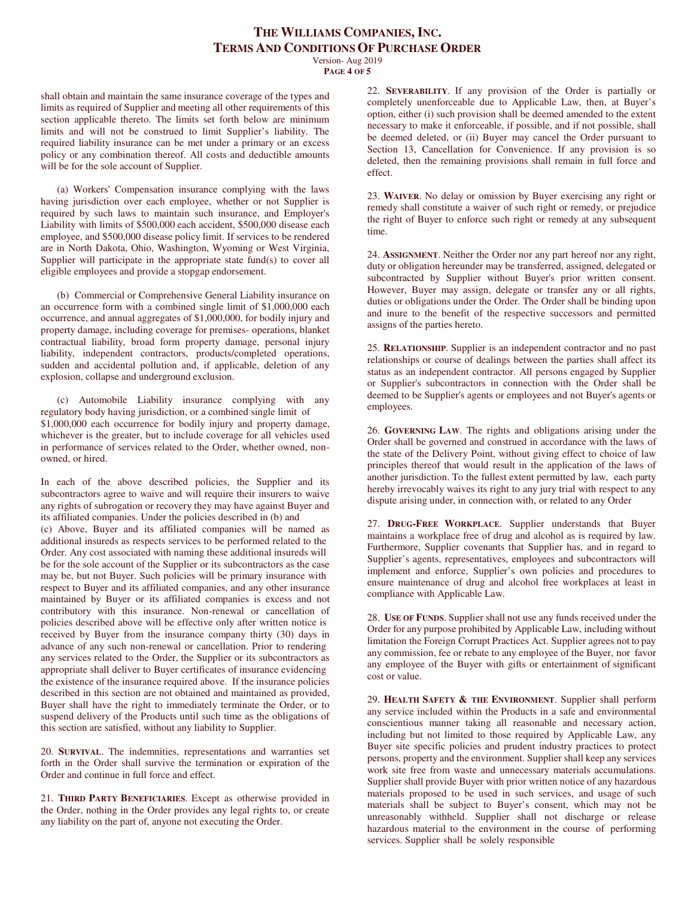Version- Aug 2019 **PAGE 4 OF 5**

shall obtain and maintain the same insurance coverage of the types and limits as required of Supplier and meeting all other requirements of this section applicable thereto. The limits set forth below are minimum limits and will not be construed to limit Supplier's liability. The required liability insurance can be met under a primary or an excess policy or any combination thereof. All costs and deductible amounts will be for the sole account of Supplier.

(a) Workers' Compensation insurance complying with the laws having jurisdiction over each employee, whether or not Supplier is required by such laws to maintain such insurance, and Employer's Liability with limits of \$500,000 each accident, \$500,000 disease each employee, and \$500,000 disease policy limit. If services to be rendered are in North Dakota, Ohio, Washington, Wyoming or West Virginia, Supplier will participate in the appropriate state fund(s) to cover all eligible employees and provide a stopgap endorsement.

(b) Commercial or Comprehensive General Liability insurance on an occurrence form with a combined single limit of \$1,000,000 each occurrence, and annual aggregates of \$1,000,000, for bodily injury and property damage, including coverage for premises- operations, blanket contractual liability, broad form property damage, personal injury liability, independent contractors, products/completed operations, sudden and accidental pollution and, if applicable, deletion of any explosion, collapse and underground exclusion.

(c) Automobile Liability insurance complying with any regulatory body having jurisdiction, or a combined single limit of \$1,000,000 each occurrence for bodily injury and property damage, whichever is the greater, but to include coverage for all vehicles used in performance of services related to the Order, whether owned, nonowned, or hired.

In each of the above described policies, the Supplier and its subcontractors agree to waive and will require their insurers to waive any rights of subrogation or recovery they may have against Buyer and its affiliated companies. Under the policies described in (b) and

(c) Above, Buyer and its affiliated companies will be named as additional insureds as respects services to be performed related to the Order. Any cost associated with naming these additional insureds will be for the sole account of the Supplier or its subcontractors as the case may be, but not Buyer. Such policies will be primary insurance with respect to Buyer and its affiliated companies, and any other insurance maintained by Buyer or its affiliated companies is excess and not contributory with this insurance. Non-renewal or cancellation of policies described above will be effective only after written notice is received by Buyer from the insurance company thirty (30) days in advance of any such non-renewal or cancellation. Prior to rendering any services related to the Order, the Supplier or its subcontractors as appropriate shall deliver to Buyer certificates of insurance evidencing the existence of the insurance required above. If the insurance policies described in this section are not obtained and maintained as provided, Buyer shall have the right to immediately terminate the Order, or to suspend delivery of the Products until such time as the obligations of this section are satisfied, without any liability to Supplier.

20. **SURVIVAL**. The indemnities, representations and warranties set forth in the Order shall survive the termination or expiration of the Order and continue in full force and effect.

21. **THIRD PARTY BENEFICIARIES**. Except as otherwise provided in the Order, nothing in the Order provides any legal rights to, or create any liability on the part of, anyone not executing the Order.

22. **SEVERABILITY**. If any provision of the Order is partially or completely unenforceable due to Applicable Law, then, at Buyer's option, either (i) such provision shall be deemed amended to the extent necessary to make it enforceable, if possible, and if not possible, shall be deemed deleted, or (ii) Buyer may cancel the Order pursuant to Section 13, Cancellation for Convenience. If any provision is so deleted, then the remaining provisions shall remain in full force and effect.

23. **WAIVER**. No delay or omission by Buyer exercising any right or remedy shall constitute a waiver of such right or remedy, or prejudice the right of Buyer to enforce such right or remedy at any subsequent time.

24. **ASSIGNMENT**. Neither the Order nor any part hereof nor any right, duty or obligation hereunder may be transferred, assigned, delegated or subcontracted by Supplier without Buyer's prior written consent. However, Buyer may assign, delegate or transfer any or all rights, duties or obligations under the Order. The Order shall be binding upon and inure to the benefit of the respective successors and permitted assigns of the parties hereto.

25. **RELATIONSHIP**. Supplier is an independent contractor and no past relationships or course of dealings between the parties shall affect its status as an independent contractor. All persons engaged by Supplier or Supplier's subcontractors in connection with the Order shall be deemed to be Supplier's agents or employees and not Buyer's agents or employees.

26. **GOVERNING LAW**. The rights and obligations arising under the Order shall be governed and construed in accordance with the laws of the state of the Delivery Point, without giving effect to choice of law principles thereof that would result in the application of the laws of another jurisdiction. To the fullest extent permitted by law, each party hereby irrevocably waives its right to any jury trial with respect to any dispute arising under, in connection with, or related to any Order

27. **DRUG-FREE WORKPLACE**. Supplier understands that Buyer maintains a workplace free of drug and alcohol as is required by law. Furthermore, Supplier covenants that Supplier has, and in regard to Supplier's agents, representatives, employees and subcontractors will implement and enforce, Supplier's own policies and procedures to ensure maintenance of drug and alcohol free workplaces at least in compliance with Applicable Law.

28. **USE OF FUNDS**. Supplier shall not use any funds received under the Order for any purpose prohibited by Applicable Law, including without limitation the Foreign Corrupt Practices Act. Supplier agrees not to pay any commission, fee or rebate to any employee of the Buyer, nor favor any employee of the Buyer with gifts or entertainment of significant cost or value.

29. **HEALTH SAFETY & THE ENVIRONMENT**. Supplier shall perform any service included within the Products in a safe and environmental conscientious manner taking all reasonable and necessary action, including but not limited to those required by Applicable Law, any Buyer site specific policies and prudent industry practices to protect persons, property and the environment. Supplier shall keep any services work site free from waste and unnecessary materials accumulations. Supplier shall provide Buyer with prior written notice of any hazardous materials proposed to be used in such services, and usage of such materials shall be subject to Buyer's consent, which may not be unreasonably withheld. Supplier shall not discharge or release hazardous material to the environment in the course of performing services. Supplier shall be solely responsible